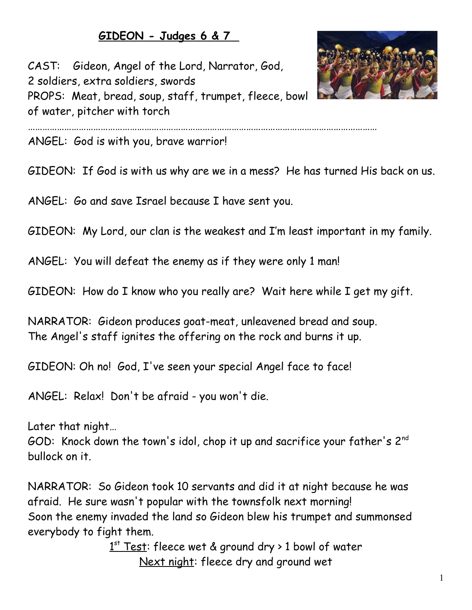## **GIDEON - Judges 6 & 7**

CAST: Gideon, Angel of the Lord, Narrator, God, 2 soldiers, extra soldiers, swords PROPS: Meat, bread, soup, staff, trumpet, fleece, bowl of water, pitcher with torch



ANGEL: God is with you, brave warrior!

GIDEON: If God is with us why are we in a mess? He has turned His back on us.

………………………………………………………………………………………………………………………………

ANGEL: Go and save Israel because I have sent you.

GIDEON: My Lord, our clan is the weakest and I'm least important in my family.

ANGEL: You will defeat the enemy as if they were only 1 man!

GIDEON: How do I know who you really are? Wait here while I get my gift.

NARRATOR: Gideon produces goat-meat, unleavened bread and soup. The Angel's staff ignites the offering on the rock and burns it up.

GIDEON: Oh no! God, I've seen your special Angel face to face!

ANGEL: Relax! Don't be afraid - you won't die.

Later that night…

GOD: Knock down the town's idol, chop it up and sacrifice your father's 2<sup>nd</sup> bullock on it.

NARRATOR: So Gideon took 10 servants and did it at night because he was afraid. He sure wasn't popular with the townsfolk next morning! Soon the enemy invaded the land so Gideon blew his trumpet and summonsed everybody to fight them.

> 1<sup>st</sup> Test: fleece wet & ground dry > 1 bowl of water Next night: fleece dry and ground wet